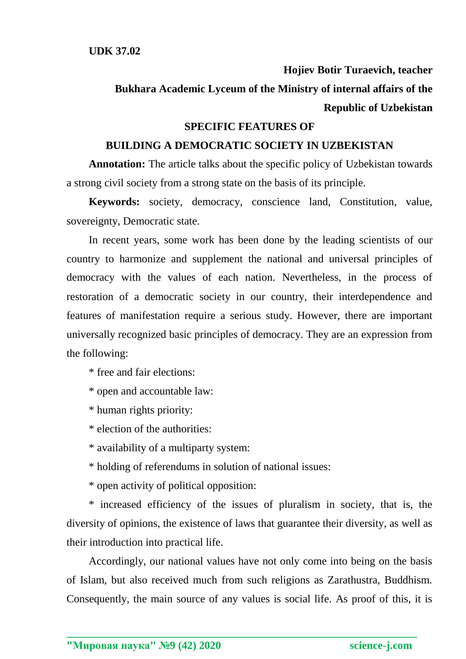**Hojiev Botir Turaevich, teacher**

**Bukhara Academic Lyceum of the Ministry of internal affairs of the Republic of Uzbekistan**

## **SPECIFIC FEATURES OF**

## **BUILDING A DEMOCRATIC SOCIETY IN UZBEKISTAN**

**Annotation:** The article talks about the specific policy of Uzbekistan towards a strong civil society from a strong state on the basis of its principle.

**Keywords:** society, democracy, conscience land, Constitution, value, sovereignty, Democratic state.

In recent years, some work has been done by the leading scientists of our country to harmonize and supplement the national and universal principles of democracy with the values of each nation. Nevertheless, in the process of restoration of a democratic society in our country, their interdependence and features of manifestation require a serious study. However, there are important universally recognized basic principles of democracy. They are an expression from the following:

\* free and fair elections:

\* open and accountable law:

\* human rights priority:

- \* election of the authorities:
- \* availability of a multiparty system:
- \* holding of referendums in solution of national issues:
- \* open activity of political opposition:

\* increased efficiency of the issues of pluralism in society, that is, the diversity of opinions, the existence of laws that guarantee their diversity, as well as their introduction into practical life.

Accordingly, our national values have not only come into being on the basis of Islam, but also received much from such religions as Zarathustra, Buddhism. Consequently, the main source of any values is social life. As proof of this, it is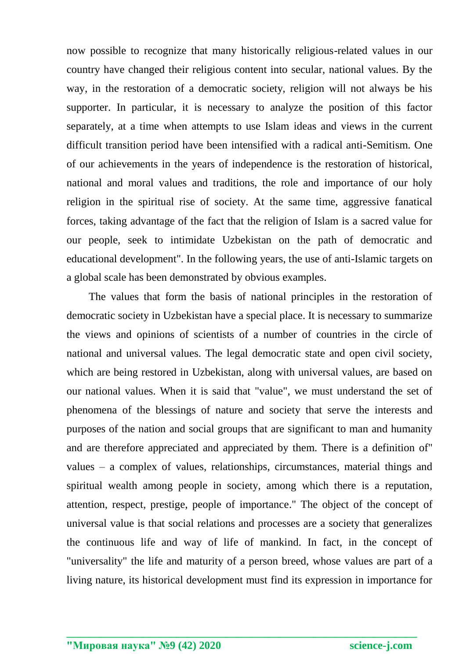now possible to recognize that many historically religious-related values in our country have changed their religious content into secular, national values. By the way, in the restoration of a democratic society, religion will not always be his supporter. In particular, it is necessary to analyze the position of this factor separately, at a time when attempts to use Islam ideas and views in the current difficult transition period have been intensified with a radical anti-Semitism. One of our achievements in the years of independence is the restoration of historical, national and moral values and traditions, the role and importance of our holy religion in the spiritual rise of society. At the same time, aggressive fanatical forces, taking advantage of the fact that the religion of Islam is a sacred value for our people, seek to intimidate Uzbekistan on the path of democratic and educational development". In the following years, the use of anti-Islamic targets on a global scale has been demonstrated by obvious examples.

The values that form the basis of national principles in the restoration of democratic society in Uzbekistan have a special place. It is necessary to summarize the views and opinions of scientists of a number of countries in the circle of national and universal values. The legal democratic state and open civil society, which are being restored in Uzbekistan, along with universal values, are based on our national values. When it is said that "value", we must understand the set of phenomena of the blessings of nature and society that serve the interests and purposes of the nation and social groups that are significant to man and humanity and are therefore appreciated and appreciated by them. There is a definition of" values – a complex of values, relationships, circumstances, material things and spiritual wealth among people in society, among which there is a reputation, attention, respect, prestige, people of importance." The object of the concept of universal value is that social relations and processes are a society that generalizes the continuous life and way of life of mankind. In fact, in the concept of "universality" the life and maturity of a person breed, whose values are part of a living nature, its historical development must find its expression in importance for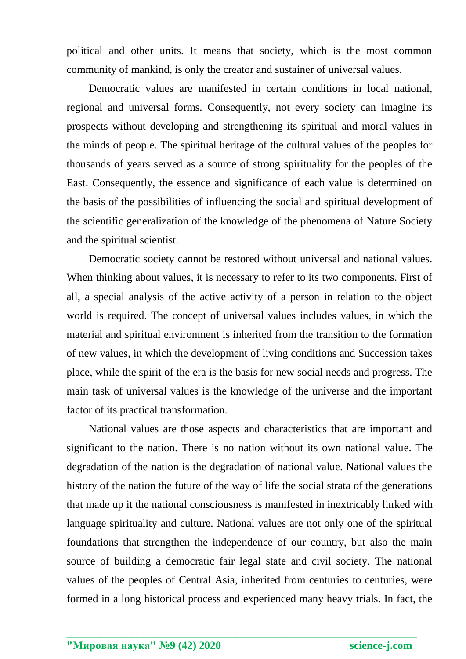political and other units. It means that society, which is the most common community of mankind, is only the creator and sustainer of universal values.

Democratic values are manifested in certain conditions in local national, regional and universal forms. Consequently, not every society can imagine its prospects without developing and strengthening its spiritual and moral values in the minds of people. The spiritual heritage of the cultural values of the peoples for thousands of years served as a source of strong spirituality for the peoples of the East. Consequently, the essence and significance of each value is determined on the basis of the possibilities of influencing the social and spiritual development of the scientific generalization of the knowledge of the phenomena of Nature Society and the spiritual scientist.

Democratic society cannot be restored without universal and national values. When thinking about values, it is necessary to refer to its two components. First of all, a special analysis of the active activity of a person in relation to the object world is required. The concept of universal values includes values, in which the material and spiritual environment is inherited from the transition to the formation of new values, in which the development of living conditions and Succession takes place, while the spirit of the era is the basis for new social needs and progress. The main task of universal values is the knowledge of the universe and the important factor of its practical transformation.

National values are those aspects and characteristics that are important and significant to the nation. There is no nation without its own national value. The degradation of the nation is the degradation of national value. National values the history of the nation the future of the way of life the social strata of the generations that made up it the national consciousness is manifested in inextricably linked with language spirituality and culture. National values are not only one of the spiritual foundations that strengthen the independence of our country, but also the main source of building a democratic fair legal state and civil society. The national values of the peoples of Central Asia, inherited from centuries to centuries, were formed in a long historical process and experienced many heavy trials. In fact, the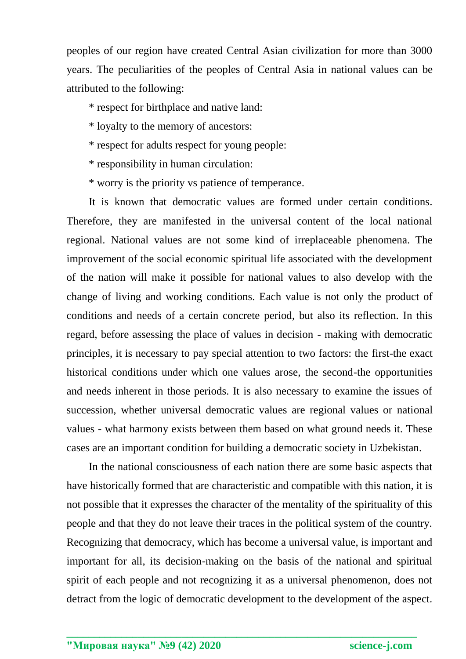peoples of our region have created Central Asian civilization for more than 3000 years. The peculiarities of the peoples of Central Asia in national values can be attributed to the following:

\* respect for birthplace and native land:

\* loyalty to the memory of ancestors:

\* respect for adults respect for young people:

\* responsibility in human circulation:

\* worry is the priority vs patience of temperance.

It is known that democratic values are formed under certain conditions. Therefore, they are manifested in the universal content of the local national regional. National values are not some kind of irreplaceable phenomena. The improvement of the social economic spiritual life associated with the development of the nation will make it possible for national values to also develop with the change of living and working conditions. Each value is not only the product of conditions and needs of a certain concrete period, but also its reflection. In this regard, before assessing the place of values in decision - making with democratic principles, it is necessary to pay special attention to two factors: the first-the exact historical conditions under which one values arose, the second-the opportunities and needs inherent in those periods. It is also necessary to examine the issues of succession, whether universal democratic values are regional values or national values - what harmony exists between them based on what ground needs it. These cases are an important condition for building a democratic society in Uzbekistan.

In the national consciousness of each nation there are some basic aspects that have historically formed that are characteristic and compatible with this nation, it is not possible that it expresses the character of the mentality of the spirituality of this people and that they do not leave their traces in the political system of the country. Recognizing that democracy, which has become a universal value, is important and important for all, its decision-making on the basis of the national and spiritual spirit of each people and not recognizing it as a universal phenomenon, does not detract from the logic of democratic development to the development of the aspect.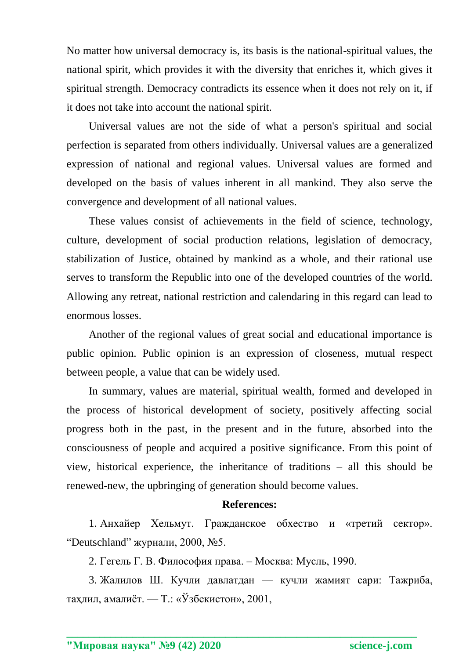No matter how universal democracy is, its basis is the national-spiritual values, the national spirit, which provides it with the diversity that enriches it, which gives it spiritual strength. Democracy contradicts its essence when it does not rely on it, if it does not take into account the national spirit.

Universal values are not the side of what a person's spiritual and social perfection is separated from others individually. Universal values are a generalized expression of national and regional values. Universal values are formed and developed on the basis of values inherent in all mankind. They also serve the convergence and development of all national values.

These values consist of achievements in the field of science, technology, culture, development of social production relations, legislation of democracy, stabilization of Justice, obtained by mankind as a whole, and their rational use serves to transform the Republic into one of the developed countries of the world. Allowing any retreat, national restriction and calendaring in this regard can lead to enormous losses.

Another of the regional values of great social and educational importance is public opinion. Public opinion is an expression of closeness, mutual respect between people, a value that can be widely used.

In summary, values are material, spiritual wealth, formed and developed in the process of historical development of society, positively affecting social progress both in the past, in the present and in the future, absorbed into the consciousness of people and acquired a positive significance. From this point of view, historical experience, the inheritance of traditions – all this should be renewed-new, the upbringing of generation should become values.

## **References:**

1. Анхайер Хельмут. Гражданское обхество и «третий сектор». "Deutschland" журнали, 2000, №5.

2. Гегель Г. В. Философия права. – Москва: Мусль, 1990.

3. Жалилов Ш. Кучли давлатдан — кучли жамият сари: Тажриба, таҳлил, амалиёт. — Т.: «Ўзбекистон», 2001,